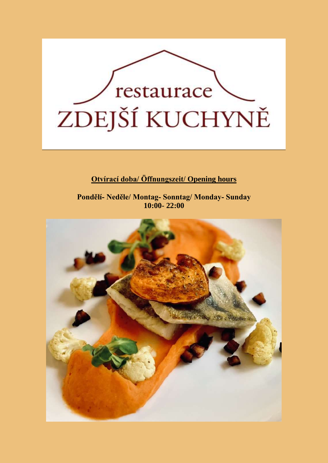

## **Otvírací doba/ Öffnungszeit/ Opening hours**

**Pondělí- Neděle/ Montag- Sonntag/ Monday- Sunday 10:00- 22:00**

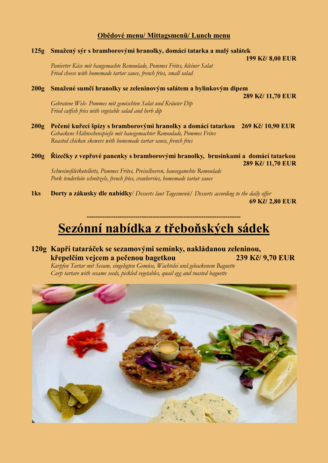### **Obědové menu/ Mittagsmenü/ Lunch menu**

### **125g Smažený sýr s bramborovými hranolky, domácí tatarka a malý salátek**

 **199 Kč/ 8,00 EUR**

*Panierter Käse mit haugemachte Remoulade, Pommes Frites, kleiner Salat Fried cheese with homemade tartar sauce, french fries, small salad*

### **200g Smažené sumčí hranolky se zeleninovým salátem a bylinkovým dipem**

 **289 Kč/ 11,70 EUR**

*Gebratene Wels- Pommes mit gemischten Salat und Kräuter Dip Fried catfish fries with vegetable salad and herb dip*

**200g Pečené kuřecí špízy s bramborovými hranolky a domácí tatarkou 269 Kč/ 10,90 EUR** *Gebackene Hähnschenspieße mit hausgemachter Remoulade, Pommes Frites Roasted chicken skewers with homemade tartar sauce, french fries*

**200g Řízečky z vepřové panenky s bramborovými hranolky, brusinkami a domácí tatarkou 289 Kč/ 11,70 EUR** *Schweinefiletkotelletts, Pommes Frites, Preiselbeeren, hausegamchte Remoulade*

*Pork tenderloin schnitzels, french fries, cranberries, homemade tartar sauce*

**1ks Dorty a zákusky dle nabídky**/ *Desserts laut Tagesmenü/ Desserts according to the daily offer*  **69 Kč/ 2,80 EUR**

# **Sezónní nabídka z třeboňských sádek**

**----------------------------------------------------------------------**

**120g Kapří tataráček se sezamovými semínky, nakládanou zeleninou, křepelčím vejcem a pečenou bagetkou 239 Kč/ 9,70 EUR**

*Karpfen Tartar mit Sesam, eingelegten Gemüse, Wachtelei und gebackenem Baguette Carp tartare with sesame seeds, pickled vegetables, quail egg and toasted baguette*

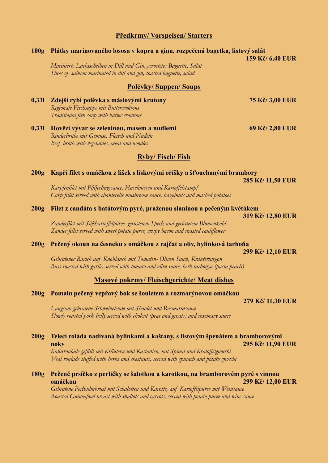### **Předkrmy/ Vorspeisen/ Starters**

## **100g Plátky marinovaného lososa v kopru a ginu, rozpečená bagetka, listový salát 159 Kč/ 6,40 EUR** *Marinierte Lachsscheiben in Dill und Gin, geröstetes Baguette, Salat Slices of salmon marinated in dill and gin, toasted baguette, salad* **Polévky/ Suppen/ Soups 0,33l Zdejší rybí polévka s máslovými krutony 75 Kč/ 3,00 EUR** *Regionale Fischsuppe mit Buttercroûtons Traditional fish soup with butter croutons* **0,33l Hovězí vývar se zeleninou, masem a nudlemi 69 Kč/ 2,80 EUR** *Rinderbrühe mit Gemüse, Fleisch und Nudeln Beef broth with vegetables, meat and noodles* **Ryby/ Fisch/ Fish 200g Kapří filet s omáčkou z lišek s lískovými oříšky a šťouchanými brambory 285 Kč/ 11,50 EUR** *Karpfenfilet mit Pfifferlingssauce, Haselnüssen und Kartoffelstampf Carp fillet served with chanterelle mushroom sauce, hazelnuts and mashed potatoes* **200g Filet z candáta s batátovým pyré, praženou slaninou a pečeným květákem 319 Kč/ 12,80 EUR** *Zanderfilet mit Süßkartoffelpüree, geröstetem Speck und geröstetem Blumenkohl Zander fillet served with sweet potato puree, crispy bacon and roasted cauliflower* **200g Pečený okoun na česneku s omáčkou z rajčat a oliv, bylinková tarhoňa 299 Kč/ 12,10 EUR** *Gebratener Barsch auf Knoblauch mit Tomaten- Oliven Sauce, Kräutertargon Bass roasted with garlic, served with tomato and olive sauce, herb tarhonya (pasta pearls)* **Masové pokrmy/ Fleischgerichte/ Meat dishes 200g Pomalu pečený vepřový bok se šouletem a rozmarýnovou omáčkou 279 Kč/ 11,30 EUR** *Langsam gebratene Schweinelende mit Shoulet und Rosmarinsauce Slowly roasted pork belly served with cholent (peas and groats) and rosemary sauce* **200g Telecí roláda nadívaná bylinkami a kaštany, s listovým špenátem a bramborovými noky 295 Kč/ 11,90 EUR** *Kalbsroulade gefüllt mit Kräutern und Kastanien, mit Spinat und Kratoffelgnocchi Veal roulade stuffed with herbs and chestnuts, served with spinach and potato gnocchi* **180g Pečené prsíčko z perličky se šalotkou a karotkou, na bramborovém pyré s vinnou omáčkou 299 Kč/ 12,00 EUR**

*Gebratene Perlhuhnbrust mit Schalotten und Karotte, auf Kartoffelpüree mit Weinsauce Roasted Guineafowl breast with shallots and carrots, served with potato puree and wine sauce*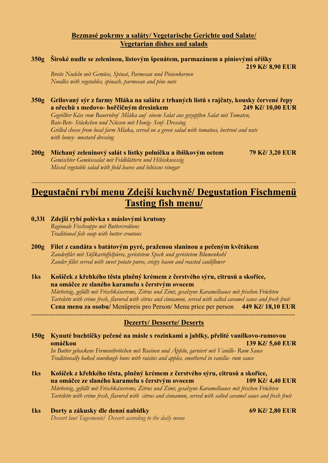### **Bezmasé pokrmy a saláty/ Vegetarische Gerichte und Salate/ Vegetarian dishes and salads**

- **350g Široké nudle se zeleninou, listovým špenátem, parmazánem a piniovými oříšky 219 Kč/ 8,90 EUR** *Breite Nudeln mit Gemüse, Spinat, Parmesan und Pinienkernen Noodles with vegetables, spinach, parmesan and pine nuts*
- **350g Grilovaný sýr z farmy Mláka na salátu z trhaných listů s rajčaty, kousky červené řepy a ořechů s medovo- hořčičným dresinkem 249 Kč/ 10,00 EUR** *Gegrillter Käse vom Bauernhof Mláka auf einem Salat aus gezupften Salat mit Tomaten, Rote-Bete- Stückchen und Nüssen mit Honig- Senf- Dressing Grilled cheese from local farm Mlaka, served on a green salad with tomatoes, beetroot and nuts with honey- mustard dressing*
- **200g Míchaný zeleninový salát s lístky polníčku a ibiškovým octem 79 Kč/ 3,20 EUR** *Gemischter Gemüsesalat mit Feldblättern und Hibiskusessig Mixed vegetable salad with field leaves and hibiscus vinegar*

# **Degustační rybí menu Zdejší kuchyně/ Degustation Fischmenü Tasting fish menu/**

*----------------------------------------------------------------------------------------------------------------------------------------------------------*

- **0,33l Zdejší rybí polévka s máslovými krutony** *Regionale Fischsuppe mit Buttercroûtons Traditional fish soup with butter croutons*
- **200g Filet z candáta s batátovým pyré, praženou slaninou a pečeným květákem** *Zanderfilet mit Süßkartoffelpüree, geröstetem Speck und geröstetem Blumenkohl Zander fillet served with sweet potato puree, crispy bacon and roasted cauliflower*
- **1ks Košíček z křehkého těsta plněný krémem z čerstvého sýru, citrusů a skořice, na omáčce ze slaného karamelu s čerstvým ovocem**

*Mürbeteig, gefüllt mit Frischkäsecreme, Zitrus und Zimt, gesalzene Karamellsauce mit frischen Früchten Tartelette with créme fresh, flavored with citrus and cinnamon, served with salted caramel sauce and fresh fruit* **Cena menu za osobu/** Menüpreis pro Person/ Menu price per person **449 Kč/ 18,10 EUR** ------------------------------------------------------------------------------------------------------------------------

### **Dezerty/ Desserte/ Deserts**

### **150g Kynuté buchtičky pečené na másle s rozinkami a jablky, přelité vanilkovo-rumovou omáčkou 139 Kč/ 5,60 EUR**

*In Butter gebackene Fermentbrötchen mit Rosinen und Äpfeln, garniert mit Vanille- Rum Sauce Traditionally baked sourdough buns with raisins and apples, smothered in vanilla- rum sauce*

- **1ks Košíček z křehkého těsta, plněný krémem z čerstvého sýru, citrusů a skořice, na omáčce ze slaného karamelu s čerstvým ovocem 109 Kč/ 4,40 EUR** *Mürbeteig, gefüllt mit Frischkäsecreme, Zitrus und Zimt, gesalzene Karamellsauce mit frischen Früchten Tartelette with créme fresh, flavored with citrus and cinnamon, served with salted caramel sauce and fresh fruit*
- **1ks Dorty a zákusky dle denní nabídky 69 Kč/ 2,80 EUR** *Dessert laut Tagesmenü/ Dessert according to the daily menu*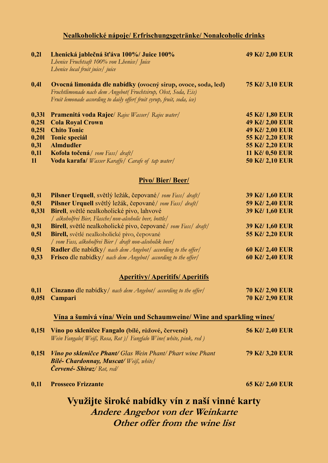# **Nealkoholické nápoje/ Erfrischungsgetränke/ Nonalcoholic drinks**

| 0,21                                                   | Lhenická jablečná šťáva 100%/ Juice 100%<br>Lhenice Fruchtsaft 100% von Lhenice/ Juice<br>Lhenice local fruit juice/ juice                                                                                                                                                                                                                                                                                    | 49 Kč/2,00 EUR                                                                                                                |  |  |
|--------------------------------------------------------|---------------------------------------------------------------------------------------------------------------------------------------------------------------------------------------------------------------------------------------------------------------------------------------------------------------------------------------------------------------------------------------------------------------|-------------------------------------------------------------------------------------------------------------------------------|--|--|
| 0,41                                                   | Ovocná limonáda dle nabídky (ovocný sirup, ovoce, soda, led)<br>Fruchtlimonade nach dem Angebot(Fruchtsirup, Obst, Soda, Eis)<br>Fruit lemonade according to daily offer(fruit syrup, fruit, soda, ice)                                                                                                                                                                                                       | <b>75 Kč/ 3,10 EUR</b>                                                                                                        |  |  |
| 0,331<br>0,251<br>0,251<br>0,201<br>0,31<br>0,11<br>11 | <b>Pramenitá voda Rajec</b> / Rajec Wasser/ Rajec water/<br><b>Cola Royal Crown</b><br><b>Chito Tonic</b><br><b>Tonic speciál</b><br><b>Almdudler</b><br>Kofola točená/vom Fass/draft/<br>Voda karafa/ Wasser Karaffe/ Carafe of tap water/                                                                                                                                                                   | 45 Kč/1,80 EUR<br>49 Kč/2,00 EUR<br>49 Kč/2,00 EUR<br>55 Kč/ 2,20 EUR<br>55 Kč/ 2,20 EUR<br>11 Kč/ 0,50 EUR<br>50 Kč/2,10 EUR |  |  |
|                                                        | <b>Pivo/Bier/Beer/</b>                                                                                                                                                                                                                                                                                                                                                                                        |                                                                                                                               |  |  |
| 0,31<br>0,51<br>0,331<br>0,31<br>0,51                  | Pilsner Urquell, světlý ležák, čepované/ vom Fass/ draft/<br>Pilsner Urquell světlý ležák, čepované/ vom Fass/ draft/<br>Birell, světlé nealkoholické pivo, lahvové<br>  alkoholfrei Bier, Flasche   non-alcoholic beer, bottle  <br>Birell, světlé nealkoholické pivo, čepované/ vom Fass/ draft/<br>Birell, světlé nealkoholické pivo, čepované<br>/ vom Fass, alkoholfrei Bier / draft non-alcoholik beer/ | 39 Kč/1,60 EUR<br>59 Kč/2,40 EUR<br>39 Kč/1,60 EUR<br>39 Kč/1,60 EUR<br>55 Kč/ 2,20 EUR                                       |  |  |
| 0,51<br>0,33                                           | <b>Radler</b> dle nabidky/ nach dem Angebot/ according to the offer/<br>Frisco dle nabidky/ nach dem Angebot/ according to the offer/                                                                                                                                                                                                                                                                         | 60 Kč/ 2,40 EUR<br>60 Kč/ 2,40 EUR                                                                                            |  |  |
|                                                        | <b>Aperitivy/Aperitifs/Aperitifs</b>                                                                                                                                                                                                                                                                                                                                                                          |                                                                                                                               |  |  |
| 0,11                                                   | Cinzano dle nabídky / nach dem Angebot / according to the offer/<br>0,051 Campari                                                                                                                                                                                                                                                                                                                             | <b>70 Kč/ 2,90 EUR</b><br><b>70 Kč/ 2,90 EUR</b>                                                                              |  |  |
|                                                        | <u>Vína a šumivá vína/Wein und Schaumweine/Wine and sparkling wines/</u>                                                                                                                                                                                                                                                                                                                                      |                                                                                                                               |  |  |
| 0,151                                                  | Víno po skleničce Fangalo (bílé, růžové, červené)<br>Wein Fangalo(Weiß, Rosa, Rot)/ Fangfalo Wine(white, pink, red)                                                                                                                                                                                                                                                                                           | <b>56 Kč/ 2,40 EUR</b>                                                                                                        |  |  |
| 0,151                                                  | <b>Vino po skleničce Phant/</b> Glas Wein Phant/ Phart wine Phant<br><b>Bilé- Chardonnay, Muscat/ Weiß, white/</b><br><b>Červené- Shiraz</b> / Rot, red/                                                                                                                                                                                                                                                      | <b>79 Kč/3,20 EUR</b>                                                                                                         |  |  |
| 0,11                                                   | <b>Prosseco Frizzante</b>                                                                                                                                                                                                                                                                                                                                                                                     | 65 Kč/ 2,60 EUR                                                                                                               |  |  |
|                                                        | Využijte široké nabídky vín z naší vinné karty                                                                                                                                                                                                                                                                                                                                                                |                                                                                                                               |  |  |
| Andere Angebot von der Weinkarte                       |                                                                                                                                                                                                                                                                                                                                                                                                               |                                                                                                                               |  |  |
| Other offer from the wine list                         |                                                                                                                                                                                                                                                                                                                                                                                                               |                                                                                                                               |  |  |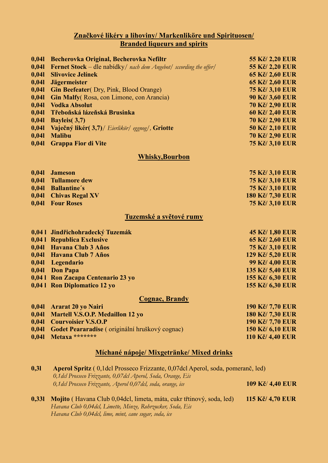### **Značkové likéry a lihoviny/ Markenliköre und Spirituosen/ Branded liqueurs and spirits**

| 0,041                                     | Becherovka Original, Becherovka Nefiltr                                   | 55 Kč/ 2,20 EUR        |  |  |
|-------------------------------------------|---------------------------------------------------------------------------|------------------------|--|--|
| 0,041                                     | <b>Fernet Stock</b> – dle nabidky/ nach dem Angebot/ sccording the offer/ | 55 Kč/ 2,20 EUR        |  |  |
| 0,041                                     | <b>Slivovice Jelínek</b>                                                  | 65 Kč/2,60 EUR         |  |  |
| 0,041                                     | <b>Jägermeister</b>                                                       | 65 Kč/2,60 EUR         |  |  |
| 0,041                                     | <b>Gin Beefeater</b> (Dry, Pink, Blood Orange)                            | <b>75 Kč/ 3,10 EUR</b> |  |  |
| 0,041                                     | Gin Malfy (Rosa, con Limone, con Arancia)                                 | 90 Kč/3,60 EUR         |  |  |
| 0,041                                     | <b>Vodka Absolut</b>                                                      | 70 Kč/2,90 EUR         |  |  |
| 0,041                                     | Třeboňská lázeňská Brusinka                                               | 60 Kč/2,40 EUR         |  |  |
| 0,041                                     | <b>Bayleis</b> (3,7)                                                      | <b>70 Kč/ 2,90 EUR</b> |  |  |
| 0,041                                     | Vaječný likér(3,7)/ Eierlikör/ eggnog/, Griotte                           | 50 Kč/2,10 EUR         |  |  |
| 0,041                                     | <b>Malibu</b>                                                             | <b>70 Kč/ 2,90 EUR</b> |  |  |
| 0,041                                     | <b>Grappa Fior di Vite</b>                                                | 75 Kč/ 3,10 EUR        |  |  |
| <b>Whisky, Bourbon</b>                    |                                                                           |                        |  |  |
| 0,041                                     | <b>Jameson</b>                                                            | <b>75 Kč/ 3,10 EUR</b> |  |  |
| 0,041                                     | <b>Tullamore dew</b>                                                      | <b>75 Kč/ 3,10 EUR</b> |  |  |
| 0,041                                     | <b>Ballantine's</b>                                                       | <b>75 Kč/ 3,10 EUR</b> |  |  |
| 0,041                                     | <b>Chivas Regal XV</b>                                                    | 180 Kč/7,30 EUR        |  |  |
| 0,041                                     | <b>Four Roses</b>                                                         | <b>75 Kč/ 3,10 EUR</b> |  |  |
|                                           | Tuzemské a světové rumy                                                   |                        |  |  |
|                                           | 0,041 Jindřichohradecký Tuzemák                                           | 45 Kč/1,80 EUR         |  |  |
|                                           | 0,041 Republica Exclusive                                                 | 65 Kč/2,60 EUR         |  |  |
| 0,041                                     | <b>Havana Club 3 Años</b>                                                 | <b>75 Kč/ 3,10 EUR</b> |  |  |
| 0,041                                     | Havana Club 7 Años                                                        | 129 Kč/ 5,20 EUR       |  |  |
| 0,041                                     | Legendario                                                                | 99 Kč/ 4,00 EUR        |  |  |
| 0,041                                     | <b>Don Papa</b>                                                           | 135 Kč/ 5,40 EUR       |  |  |
|                                           | 0,041 Ron Zacapa Centenario 23 yo                                         | 155 Kč/ 6,30 EUR       |  |  |
| 0,041                                     | <b>Ron Diplomatico 12 yo</b>                                              | 155 Kč/ 6,30 EUR       |  |  |
|                                           | <b>Cognac, Brandy</b>                                                     |                        |  |  |
| 0,041                                     | Ararat 20 yo Nairi                                                        | 190 Kč/7,70 EUR        |  |  |
| 0,041                                     | Martell V.S.O.P. Medaillon 12 yo                                          | 180 Kč/7,30 EUR        |  |  |
| 0,041                                     | <b>Courvoisier V.S.O.P</b>                                                | 190 Kč/7,70 EUR        |  |  |
| 0,041                                     | Godet Peararadise (originální hruškový cognac)                            | 150 Kč/ 6,10 EUR       |  |  |
| 0,041                                     | Metaxa *******                                                            | 110 Kč/ 4,40 EUR       |  |  |
| Míchané nápoje/ Mixgetränke/ Mixed drinks |                                                                           |                        |  |  |

| 0,31  | Aperol Spritz (0,1 dcl Prosseco Frizzante, 0,07 dcl Aperol, soda, pomeranč, led) |                  |  |
|-------|----------------------------------------------------------------------------------|------------------|--|
|       | 0,1 dcl Prosseco Frizzante, 0,07 dcl Aperol, Soda, Orange, Eis                   |                  |  |
|       | 0,1 dcl Prosseco Frizzante, Aperol 0,07 dcl, soda, orange, ice                   | 109 Kč/ 4,40 EUR |  |
|       |                                                                                  |                  |  |
| 0,331 | Mojito (Havana Club 0,04dcl, limeta, máta, cukr třtinový, soda, led)             | 115 Kč/ 4,70 EUR |  |
|       | Havana Club 0,04 dcl, Limette, Minze, Rohrzucker, Soda, Eis                      |                  |  |
|       | Havana Club 0,04 dcl, lime, mint, cane sugar, soda, ice                          |                  |  |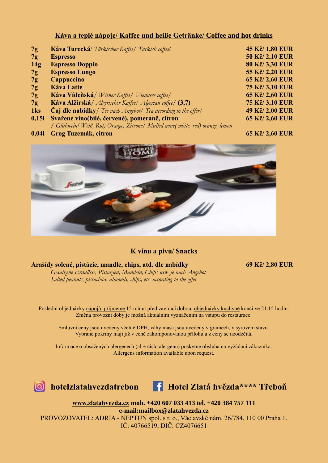### **Káva a teplé nápoje/ Kaffee und heiße Getränke/ Coffee and hot drinks**

| 7g              | Káva Turecká/ Türkischer Kaffee/ Turkish coffeel                           | 45 Kč/1,80 EUR         |
|-----------------|----------------------------------------------------------------------------|------------------------|
| 7g              | <b>Espresso</b>                                                            | 50 Kč/ 2,10 EUR        |
| 14g             | <b>Espresso Doppio</b>                                                     | 80 Kč/3,30 EUR         |
| 7g              | <b>Espresso Lungo</b>                                                      | 55 Kč/ 2,20 EUR        |
| 7g              | Cappuccino                                                                 | 65 Kč/ 2,60 EUR        |
| 7g              | <b>Káva Latte</b>                                                          | <b>75 Kč/3,10 EUR</b>  |
| 7g              | Káva Vídeňská/ Wiener Kaffee/ Viennese coffee/                             | 65 Kč/ 2,60 EUR        |
| 7g              | Káva Alžírská / Algerischer Kaffee / Algerian coffee / (3,7)               | <b>75 Kč/ 3,10 EUR</b> |
| 1 <sub>ks</sub> | <b>Caj dle nabídky</b> / Tee nach Angebot/ Tea according to the offer/     | 49 Kč/2,00 EUR         |
| 0,151           | Svařené víno(bílé, červené), pomeranč, citron                              | 65 Kč/2,60 EUR         |
|                 | Glühwein(Weiß, Rot) Orange, Zitrone  Mulled wine(white, red) orange, lemon |                        |

**0,04l Grog Tuzemák, citron 65 Kč/ 2,60 EUR**



### **K vínu a pivu/ Snacks**

#### **Arašídy solené, pistácie, mandle, chips, atd. dle nabídky 69 Kč/ 2,80 EUR**

*Gesalzene Erdnüsse, Pistazien, Mandeln, Chips usw. je nach Angebot Salted peanuts, pistachios, almonds, chips, etc. according to the offer*

Poslední objednávky nápojů přijmeme 15 minut před zavírací dobou, objednávky kuchyně končí ve 21:15 hodin. Změna provozní doby je možná aktuálním vyznačením na vstupu do restaurace.

Smluvní ceny jsou uvedeny včetně DPH, váhy masa jsou uvedeny v gramech, v syrovém stavu. Vybrané pokrmy mají již v ceně zakomponovanou přílohu a z ceny se neodečítá.

Informace o obsažených alergenech (al.+ číslo alergenu) poskytne obsluha na vyžádaní zákazníka. Allergens information available upon request.





**[www.zlatahvezda.cz](http://www.zlatahvezda.cz/) mob. +420 607 033 413 tel. +420 384 757 111 e-mail:mailbox@zlatahvezda.cz** PROVOZOVATEL: ADRIA - NEPTUN spol. s r. o., Václavské nám. 26/784, 110 00 Praha 1. IČ: 40766519, DIČ: CZ4076651